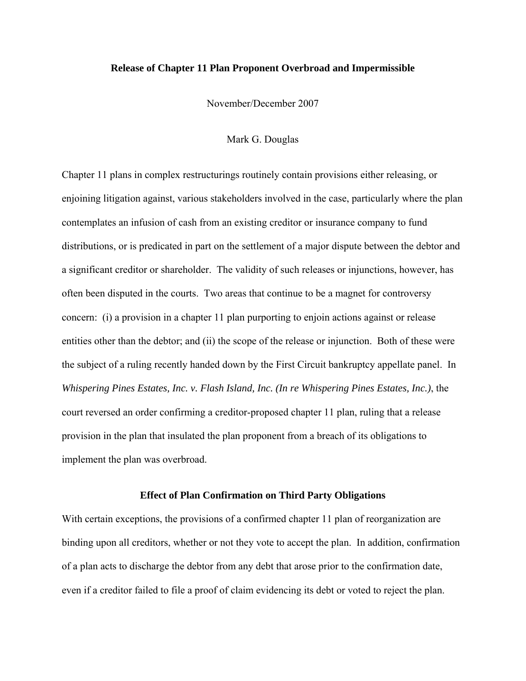### **Release of Chapter 11 Plan Proponent Overbroad and Impermissible**

November/December 2007

Mark G. Douglas

Chapter 11 plans in complex restructurings routinely contain provisions either releasing, or enjoining litigation against, various stakeholders involved in the case, particularly where the plan contemplates an infusion of cash from an existing creditor or insurance company to fund distributions, or is predicated in part on the settlement of a major dispute between the debtor and a significant creditor or shareholder. The validity of such releases or injunctions, however, has often been disputed in the courts. Two areas that continue to be a magnet for controversy concern: (i) a provision in a chapter 11 plan purporting to enjoin actions against or release entities other than the debtor; and (ii) the scope of the release or injunction. Both of these were the subject of a ruling recently handed down by the First Circuit bankruptcy appellate panel. In *Whispering Pines Estates, Inc. v. Flash Island, Inc. (In re Whispering Pines Estates, Inc.)*, the court reversed an order confirming a creditor-proposed chapter 11 plan, ruling that a release provision in the plan that insulated the plan proponent from a breach of its obligations to implement the plan was overbroad.

#### **Effect of Plan Confirmation on Third Party Obligations**

With certain exceptions, the provisions of a confirmed chapter 11 plan of reorganization are binding upon all creditors, whether or not they vote to accept the plan. In addition, confirmation of a plan acts to discharge the debtor from any debt that arose prior to the confirmation date, even if a creditor failed to file a proof of claim evidencing its debt or voted to reject the plan.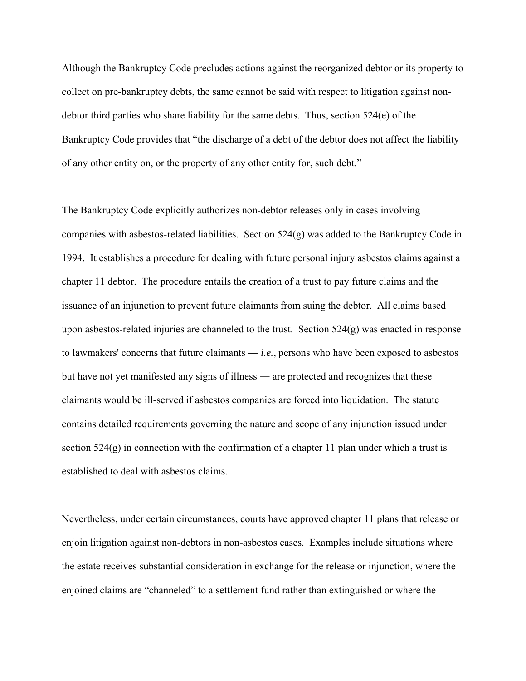Although the Bankruptcy Code precludes actions against the reorganized debtor or its property to collect on pre-bankruptcy debts, the same cannot be said with respect to litigation against nondebtor third parties who share liability for the same debts. Thus, section 524(e) of the Bankruptcy Code provides that "the discharge of a debt of the debtor does not affect the liability of any other entity on, or the property of any other entity for, such debt."

The Bankruptcy Code explicitly authorizes non-debtor releases only in cases involving companies with asbestos-related liabilities. Section 524(g) was added to the Bankruptcy Code in 1994. It establishes a procedure for dealing with future personal injury asbestos claims against a chapter 11 debtor. The procedure entails the creation of a trust to pay future claims and the issuance of an injunction to prevent future claimants from suing the debtor. All claims based upon asbestos-related injuries are channeled to the trust. Section  $524(g)$  was enacted in response to lawmakers' concerns that future claimants ― *i.e.*, persons who have been exposed to asbestos but have not yet manifested any signs of illness ― are protected and recognizes that these claimants would be ill-served if asbestos companies are forced into liquidation. The statute contains detailed requirements governing the nature and scope of any injunction issued under section 524(g) in connection with the confirmation of a chapter 11 plan under which a trust is established to deal with asbestos claims.

Nevertheless, under certain circumstances, courts have approved chapter 11 plans that release or enjoin litigation against non-debtors in non-asbestos cases. Examples include situations where the estate receives substantial consideration in exchange for the release or injunction, where the enjoined claims are "channeled" to a settlement fund rather than extinguished or where the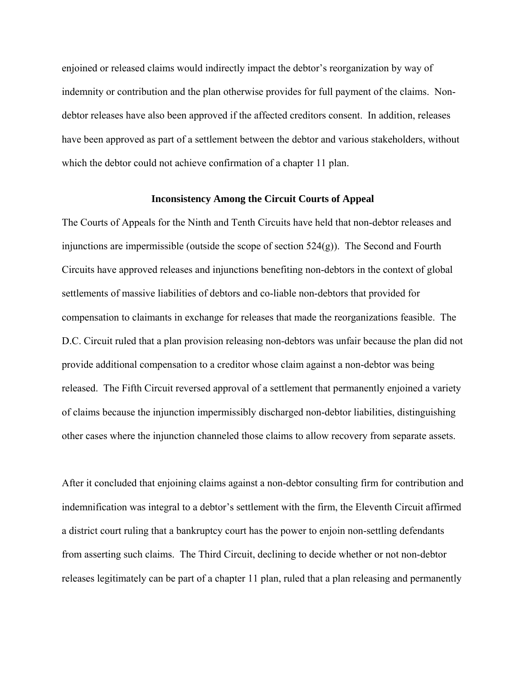enjoined or released claims would indirectly impact the debtor's reorganization by way of indemnity or contribution and the plan otherwise provides for full payment of the claims. Nondebtor releases have also been approved if the affected creditors consent. In addition, releases have been approved as part of a settlement between the debtor and various stakeholders, without which the debtor could not achieve confirmation of a chapter 11 plan.

## **Inconsistency Among the Circuit Courts of Appeal**

The Courts of Appeals for the Ninth and Tenth Circuits have held that non-debtor releases and injunctions are impermissible (outside the scope of section  $524(g)$ ). The Second and Fourth Circuits have approved releases and injunctions benefiting non-debtors in the context of global settlements of massive liabilities of debtors and co-liable non-debtors that provided for compensation to claimants in exchange for releases that made the reorganizations feasible. The D.C. Circuit ruled that a plan provision releasing non-debtors was unfair because the plan did not provide additional compensation to a creditor whose claim against a non-debtor was being released. The Fifth Circuit reversed approval of a settlement that permanently enjoined a variety of claims because the injunction impermissibly discharged non-debtor liabilities, distinguishing other cases where the injunction channeled those claims to allow recovery from separate assets.

After it concluded that enjoining claims against a non-debtor consulting firm for contribution and indemnification was integral to a debtor's settlement with the firm, the Eleventh Circuit affirmed a district court ruling that a bankruptcy court has the power to enjoin non-settling defendants from asserting such claims. The Third Circuit, declining to decide whether or not non-debtor releases legitimately can be part of a chapter 11 plan, ruled that a plan releasing and permanently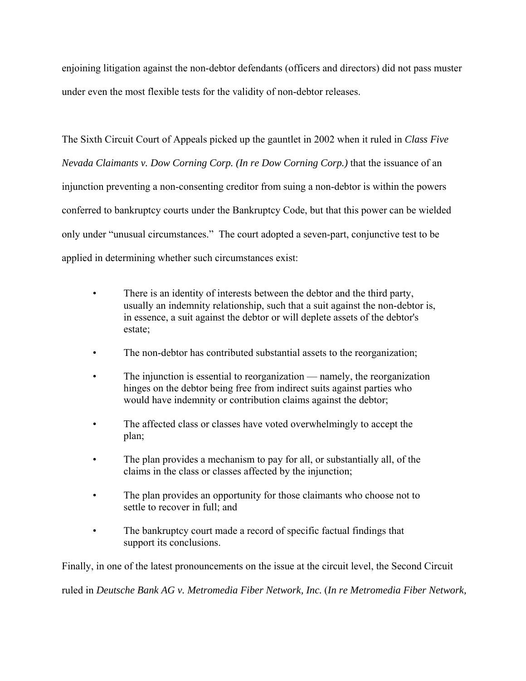enjoining litigation against the non-debtor defendants (officers and directors) did not pass muster under even the most flexible tests for the validity of non-debtor releases.

The Sixth Circuit Court of Appeals picked up the gauntlet in 2002 when it ruled in *Class Five Nevada Claimants v. Dow Corning Corp. (In re Dow Corning Corp.)* that the issuance of an injunction preventing a non-consenting creditor from suing a non-debtor is within the powers conferred to bankruptcy courts under the Bankruptcy Code, but that this power can be wielded only under "unusual circumstances." The court adopted a seven-part, conjunctive test to be applied in determining whether such circumstances exist:

- There is an identity of interests between the debtor and the third party, usually an indemnity relationship, such that a suit against the non-debtor is, in essence, a suit against the debtor or will deplete assets of the debtor's estate;
- The non-debtor has contributed substantial assets to the reorganization;
- The injunction is essential to reorganization namely, the reorganization hinges on the debtor being free from indirect suits against parties who would have indemnity or contribution claims against the debtor;
- The affected class or classes have voted overwhelmingly to accept the plan;
- The plan provides a mechanism to pay for all, or substantially all, of the claims in the class or classes affected by the injunction;
- The plan provides an opportunity for those claimants who choose not to settle to recover in full; and
- The bankruptcy court made a record of specific factual findings that support its conclusions.

Finally, in one of the latest pronouncements on the issue at the circuit level, the Second Circuit

ruled in *Deutsche Bank AG v. Metromedia Fiber Network, Inc.* (*In re Metromedia Fiber Network,*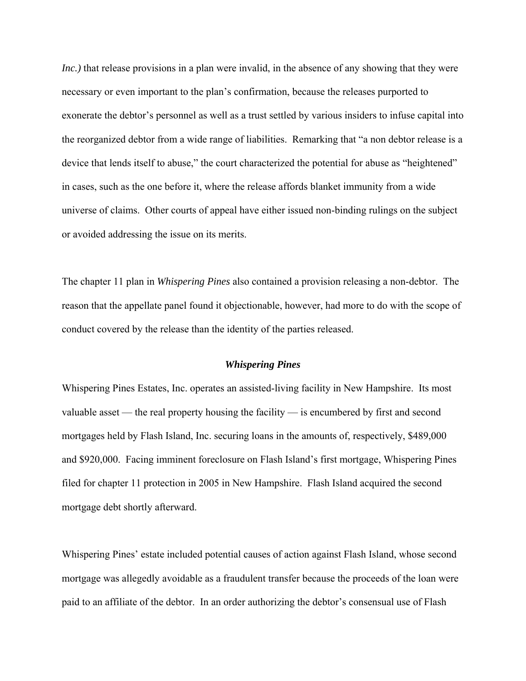*Inc.*) that release provisions in a plan were invalid, in the absence of any showing that they were necessary or even important to the plan's confirmation, because the releases purported to exonerate the debtor's personnel as well as a trust settled by various insiders to infuse capital into the reorganized debtor from a wide range of liabilities. Remarking that "a non debtor release is a device that lends itself to abuse," the court characterized the potential for abuse as "heightened" in cases, such as the one before it, where the release affords blanket immunity from a wide universe of claims. Other courts of appeal have either issued non-binding rulings on the subject or avoided addressing the issue on its merits.

The chapter 11 plan in *Whispering Pines* also contained a provision releasing a non-debtor. The reason that the appellate panel found it objectionable, however, had more to do with the scope of conduct covered by the release than the identity of the parties released.

#### *Whispering Pines*

Whispering Pines Estates, Inc. operates an assisted-living facility in New Hampshire. Its most valuable asset — the real property housing the facility — is encumbered by first and second mortgages held by Flash Island, Inc. securing loans in the amounts of, respectively, \$489,000 and \$920,000. Facing imminent foreclosure on Flash Island's first mortgage, Whispering Pines filed for chapter 11 protection in 2005 in New Hampshire. Flash Island acquired the second mortgage debt shortly afterward.

Whispering Pines' estate included potential causes of action against Flash Island, whose second mortgage was allegedly avoidable as a fraudulent transfer because the proceeds of the loan were paid to an affiliate of the debtor. In an order authorizing the debtor's consensual use of Flash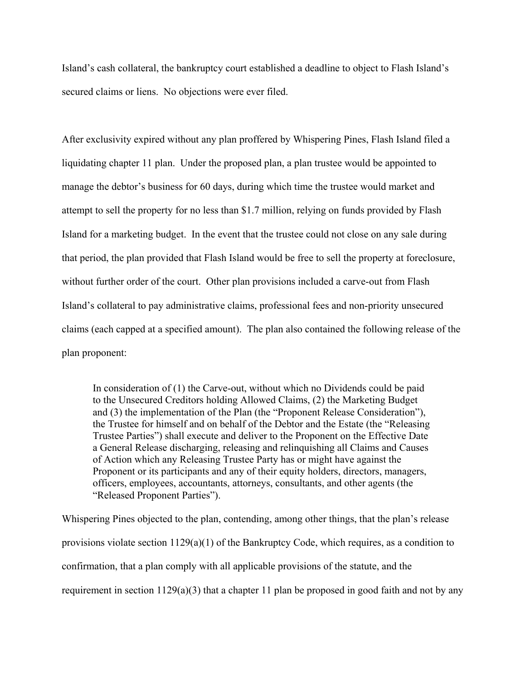Island's cash collateral, the bankruptcy court established a deadline to object to Flash Island's secured claims or liens. No objections were ever filed.

After exclusivity expired without any plan proffered by Whispering Pines, Flash Island filed a liquidating chapter 11 plan. Under the proposed plan, a plan trustee would be appointed to manage the debtor's business for 60 days, during which time the trustee would market and attempt to sell the property for no less than \$1.7 million, relying on funds provided by Flash Island for a marketing budget. In the event that the trustee could not close on any sale during that period, the plan provided that Flash Island would be free to sell the property at foreclosure, without further order of the court. Other plan provisions included a carve-out from Flash Island's collateral to pay administrative claims, professional fees and non-priority unsecured claims (each capped at a specified amount). The plan also contained the following release of the plan proponent:

In consideration of (1) the Carve-out, without which no Dividends could be paid to the Unsecured Creditors holding Allowed Claims, (2) the Marketing Budget and (3) the implementation of the Plan (the "Proponent Release Consideration"), the Trustee for himself and on behalf of the Debtor and the Estate (the "Releasing Trustee Parties") shall execute and deliver to the Proponent on the Effective Date a General Release discharging, releasing and relinquishing all Claims and Causes of Action which any Releasing Trustee Party has or might have against the Proponent or its participants and any of their equity holders, directors, managers, officers, employees, accountants, attorneys, consultants, and other agents (the "Released Proponent Parties").

Whispering Pines objected to the plan, contending, among other things, that the plan's release provisions violate section 1129(a)(1) of the Bankruptcy Code, which requires, as a condition to confirmation, that a plan comply with all applicable provisions of the statute, and the requirement in section 1129(a)(3) that a chapter 11 plan be proposed in good faith and not by any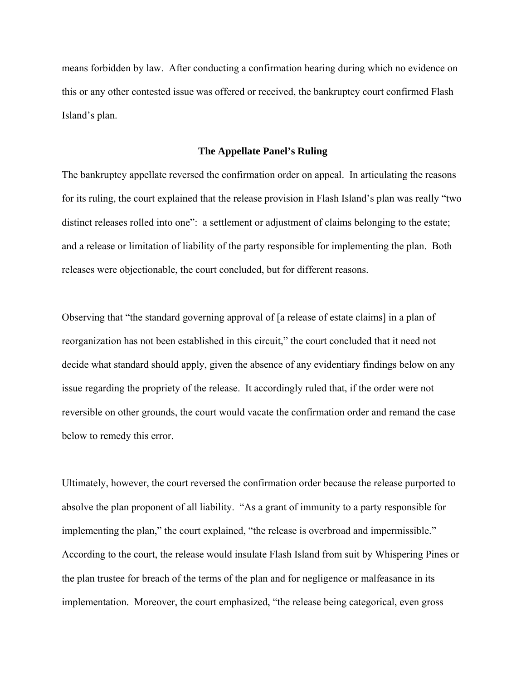means forbidden by law. After conducting a confirmation hearing during which no evidence on this or any other contested issue was offered or received, the bankruptcy court confirmed Flash Island's plan.

# **The Appellate Panel's Ruling**

The bankruptcy appellate reversed the confirmation order on appeal. In articulating the reasons for its ruling, the court explained that the release provision in Flash Island's plan was really "two distinct releases rolled into one": a settlement or adjustment of claims belonging to the estate; and a release or limitation of liability of the party responsible for implementing the plan. Both releases were objectionable, the court concluded, but for different reasons.

Observing that "the standard governing approval of [a release of estate claims] in a plan of reorganization has not been established in this circuit," the court concluded that it need not decide what standard should apply, given the absence of any evidentiary findings below on any issue regarding the propriety of the release. It accordingly ruled that, if the order were not reversible on other grounds, the court would vacate the confirmation order and remand the case below to remedy this error.

Ultimately, however, the court reversed the confirmation order because the release purported to absolve the plan proponent of all liability. "As a grant of immunity to a party responsible for implementing the plan," the court explained, "the release is overbroad and impermissible." According to the court, the release would insulate Flash Island from suit by Whispering Pines or the plan trustee for breach of the terms of the plan and for negligence or malfeasance in its implementation. Moreover, the court emphasized, "the release being categorical, even gross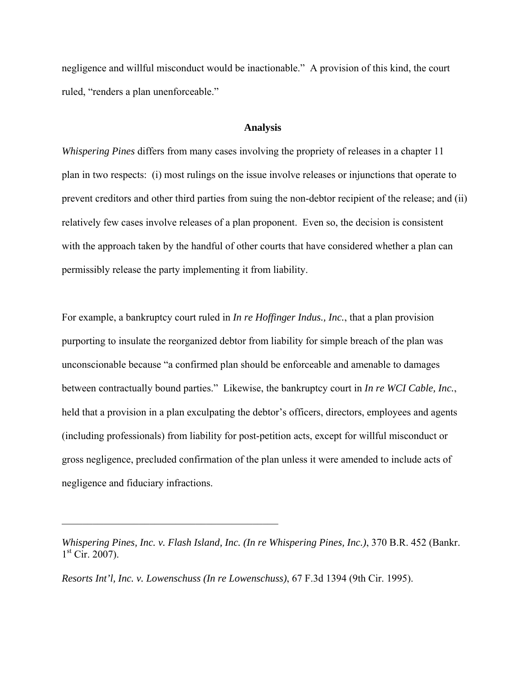negligence and willful misconduct would be inactionable." A provision of this kind, the court ruled, "renders a plan unenforceable."

## **Analysis**

*Whispering Pines* differs from many cases involving the propriety of releases in a chapter 11 plan in two respects: (i) most rulings on the issue involve releases or injunctions that operate to prevent creditors and other third parties from suing the non-debtor recipient of the release; and (ii) relatively few cases involve releases of a plan proponent. Even so, the decision is consistent with the approach taken by the handful of other courts that have considered whether a plan can permissibly release the party implementing it from liability.

For example, a bankruptcy court ruled in *In re Hoffinger Indus., Inc.*, that a plan provision purporting to insulate the reorganized debtor from liability for simple breach of the plan was unconscionable because "a confirmed plan should be enforceable and amenable to damages between contractually bound parties." Likewise, the bankruptcy court in *In re WCI Cable, Inc.*, held that a provision in a plan exculpating the debtor's officers, directors, employees and agents (including professionals) from liability for post-petition acts, except for willful misconduct or gross negligence, precluded confirmation of the plan unless it were amended to include acts of negligence and fiduciary infractions.

*Whispering Pines, Inc. v. Flash Island, Inc. (In re Whispering Pines, Inc.)*, 370 B.R. 452 (Bankr.  $1<sup>st</sup>$  Cir. 2007).

*Resorts Int'l, Inc. v. Lowenschuss (In re Lowenschuss)*, 67 F.3d 1394 (9th Cir. 1995).

 $\mathcal{L}_\text{max}$